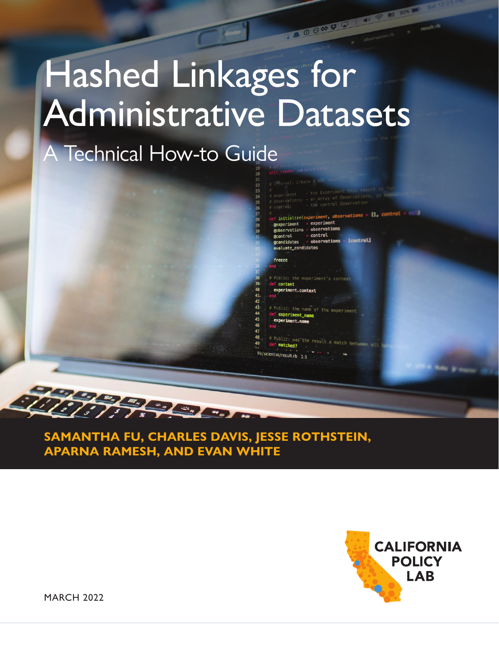# Hashed Linkages for Administrative Datasets

24

A Technical How-to Guide

freeze # Public: the experiment's context f context experiment.context

@observations = observations<br>@control = control<br>@candidates = observations - [control]

evaluate\_candidates

et initialize(experiment, observations = [], control<br>
experiment = experiment<br>
eobservations = observations<br>
= observations = control

00000

# Public: the name of the experime f experiment name experiment.name

ublic: was the result a matched? st/result.rb 1:1

**SAMANTHA FU, CHARLES DAVIS, JESSE ROTHSTEIN, APARNA RAMESH, AND EVAN WHITE**

**SALES AND** 



MARCH 2022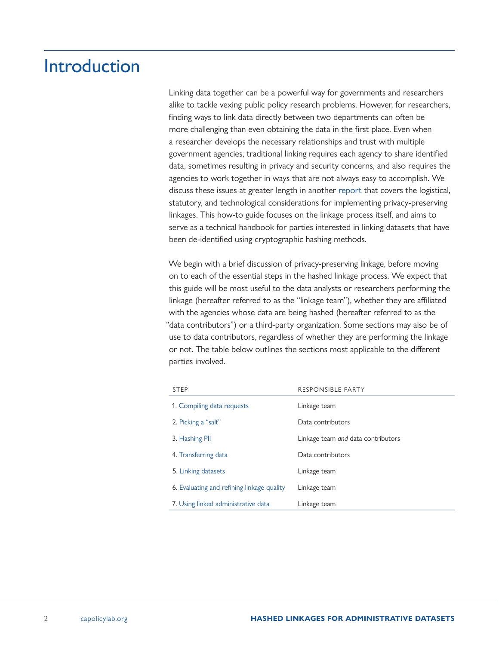# Introduction

Linking data together can be a powerful way for governments and researchers alike to tackle vexing public policy research problems. However, for researchers, finding ways to link data directly between two departments can often be more challenging than even obtaining the data in the first place. Even when a researcher develops the necessary relationships and trust with multiple government agencies, traditional linking requires each agency to share identified data, sometimes resulting in privacy and security concerns, and also requires the agencies to work together in ways that are not always easy to accomplish. We discuss these issues at greater length in another [report](https://www.capolicylab.org/connecting-families-to-benefits-using-linked-data-a-toolkit/) that covers the logistical, statutory, and technological considerations for implementing privacy-preserving linkages. This how-to guide focuses on the linkage process itself, and aims to serve as a technical handbook for parties interested in linking datasets that have been de-identified using cryptographic hashing methods.

We begin with a brief discussion of privacy-preserving linkage, before moving on to each of the essential steps in the hashed linkage process. We expect that this guide will be most useful to the data analysts or researchers performing the linkage (hereafter referred to as the "linkage team"), whether they are affiliated with the agencies whose data are being hashed (hereafter referred to as the "data contributors") or a third-party organization. Some sections may also be of use to data contributors, regardless of whether they are performing the linkage or not. The table below outlines the sections most applicable to the different parties involved.

| <b>STEP</b>                                | <b>RESPONSIBLE PARTY</b>           |  |
|--------------------------------------------|------------------------------------|--|
| 1. Compiling data requests                 | Linkage team                       |  |
| 2. Picking a "salt"                        | Data contributors                  |  |
| 3. Hashing PII                             | Linkage team and data contributors |  |
| 4. Transferring data                       | Data contributors                  |  |
| 5. Linking datasets                        | Linkage team                       |  |
| 6. Evaluating and refining linkage quality | Linkage team                       |  |
| 7. Using linked administrative data        | Linkage team                       |  |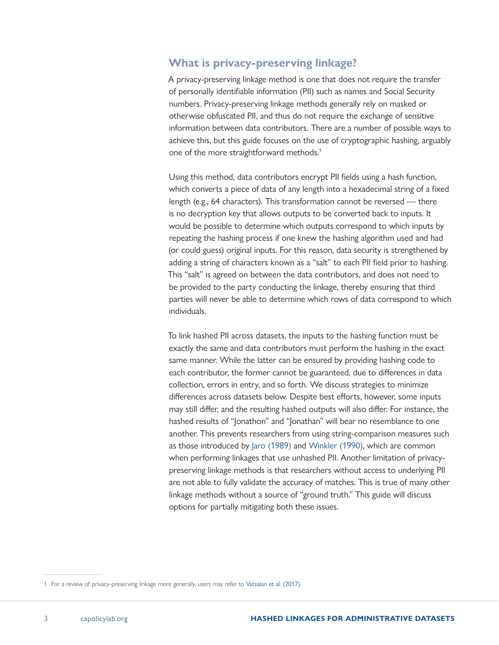#### **What is privacy-preserving linkage?**

A privacy-preserving linkage method is one that does not require the transfer of personally identifiable information (PII) such as names and Social Security numbers. Privacy-preserving linkage methods generally rely on masked or otherwise obfuscated PII, and thus do not require the exchange of sensitive information between data contributors. There are a number of possible ways to achieve this, but this guide focuses on the use of cryptographic hashing, arguably one of the more straightforward methods.<sup>1</sup>

Using this method, data contributors encrypt PII fields using a hash function, which converts a piece of data of any length into a hexadecimal string of a fixed length (e.g., 64 characters). This transformation cannot be reversed — there is no decryption key that allows outputs to be converted back to inputs. It would be possible to determine which outputs correspond to which inputs by repeating the hashing process if one knew the hashing algorithm used and had (or could guess) original inputs. For this reason, data security is strengthened by adding a string of characters known as a "salt" to each PII field prior to hashing. This "salt" is agreed on between the data contributors, and does not need to be provided to the party conducting the linkage, thereby ensuring that third parties will never be able to determine which rows of data correspond to which individuals.

To link hashed PII across datasets, the inputs to the hashing function must be exactly the same and data contributors must perform the hashing in the exact same manner. While the latter can be ensured by providing hashing code to each contributor, the former cannot be guaranteed, due to differences in data collection, errors in entry, and so forth. We discuss strategies to minimize differences across datasets below. Despite best efforts, however, some inputs may still differ, and the resulting hashed outputs will also differ. For instance, the hashed results of "Jonathon" and "Jonathan" will bear no resemblance to one another. This prevents researchers from using string-comparison measures such as those introduced by [Jaro \(1989\)](https://www.jstor.org/stable/2289924?seq=1) and [Winkler \(1990\)](https://eric.ed.gov/?id=ED325505), which are common when performing linkages that use unhashed PII. Another limitation of privacypreserving linkage methods is that researchers without access to underlying PII are not able to fully validate the accuracy of matches. This is true of many other linkage methods without a source of "ground truth." This guide will discuss options for partially mitigating both these issues.

<sup>1</sup> For a review of privacy-preserving linkage more generally, users may refer to [Vatsalan et al. \(2017\)](https://link-springer-com.libproxy.berkeley.edu/chapter/10.1007/978-3-319-49340-4_25#citeas).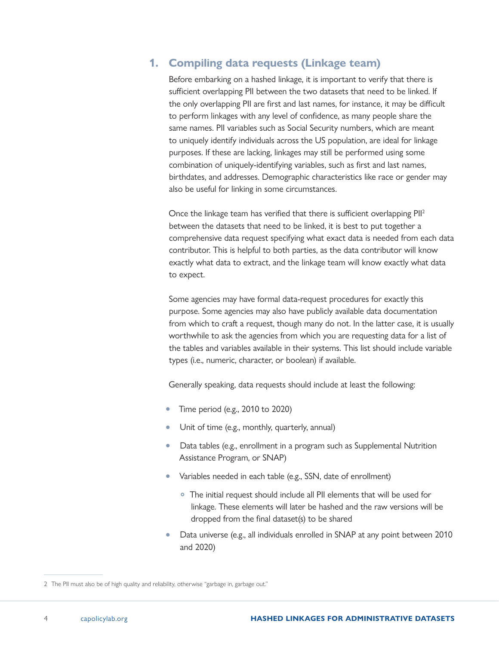## <span id="page-3-0"></span>**1. Compiling data requests (Linkage team)**

Before embarking on a hashed linkage, it is important to verify that there is sufficient overlapping PII between the two datasets that need to be linked. If the only overlapping PII are first and last names, for instance, it may be difficult to perform linkages with any level of confidence, as many people share the same names. PII variables such as Social Security numbers, which are meant to uniquely identify individuals across the US population, are ideal for linkage purposes. If these are lacking, linkages may still be performed using some combination of uniquely-identifying variables, such as first and last names, birthdates, and addresses. Demographic characteristics like race or gender may also be useful for linking in some circumstances.

Once the linkage team has verified that there is sufficient overlapping PII2 between the datasets that need to be linked, it is best to put together a comprehensive data request specifying what exact data is needed from each data contributor. This is helpful to both parties, as the data contributor will know exactly what data to extract, and the linkage team will know exactly what data to expect.

Some agencies may have formal data-request procedures for exactly this purpose. Some agencies may also have publicly available data documentation from which to craft a request, though many do not. In the latter case, it is usually worthwhile to ask the agencies from which you are requesting data for a list of the tables and variables available in their systems. This list should include variable types (i.e., numeric, character, or boolean) if available.

Generally speaking, data requests should include at least the following:

- Time period (e.g., 2010 to 2020)
- Unit of time (e.g., monthly, quarterly, annual)
- Data tables (e.g., enrollment in a program such as Supplemental Nutrition Assistance Program, or SNAP)
- Variables needed in each table (e.g., SSN, date of enrollment)
	- The initial request should include all PII elements that will be used for linkage. These elements will later be hashed and the raw versions will be dropped from the final dataset(s) to be shared
- Data universe (e.g., all individuals enrolled in SNAP at any point between 2010 and 2020)

<sup>2</sup> The PII must also be of high quality and reliability, otherwise "garbage in, garbage out."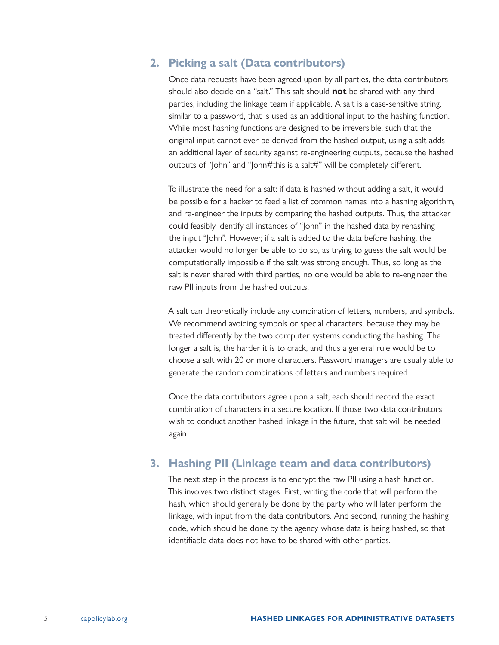#### <span id="page-4-0"></span>**2. Picking a salt (Data contributors)**

Once data requests have been agreed upon by all parties, the data contributors should also decide on a "salt." This salt should **not** be shared with any third parties, including the linkage team if applicable. A salt is a case-sensitive string, similar to a password, that is used as an additional input to the hashing function. While most hashing functions are designed to be irreversible, such that the original input cannot ever be derived from the hashed output, using a salt adds an additional layer of security against re-engineering outputs, because the hashed outputs of "John" and "John#this is a salt#" will be completely different.

To illustrate the need for a salt: if data is hashed without adding a salt, it would be possible for a hacker to feed a list of common names into a hashing algorithm, and re-engineer the inputs by comparing the hashed outputs. Thus, the attacker could feasibly identify all instances of "John" in the hashed data by rehashing the input "John". However, if a salt is added to the data before hashing, the attacker would no longer be able to do so, as trying to guess the salt would be computationally impossible if the salt was strong enough. Thus, so long as the salt is never shared with third parties, no one would be able to re-engineer the raw PII inputs from the hashed outputs.

A salt can theoretically include any combination of letters, numbers, and symbols. We recommend avoiding symbols or special characters, because they may be treated differently by the two computer systems conducting the hashing. The longer a salt is, the harder it is to crack, and thus a general rule would be to choose a salt with 20 or more characters. Password managers are usually able to generate the random combinations of letters and numbers required.

Once the data contributors agree upon a salt, each should record the exact combination of characters in a secure location. If those two data contributors wish to conduct another hashed linkage in the future, that salt will be needed again.

### **3. Hashing PII (Linkage team and data contributors)**

The next step in the process is to encrypt the raw PII using a hash function. This involves two distinct stages. First, writing the code that will perform the hash, which should generally be done by the party who will later perform the linkage, with input from the data contributors. And second, running the hashing code, which should be done by the agency whose data is being hashed, so that identifiable data does not have to be shared with other parties.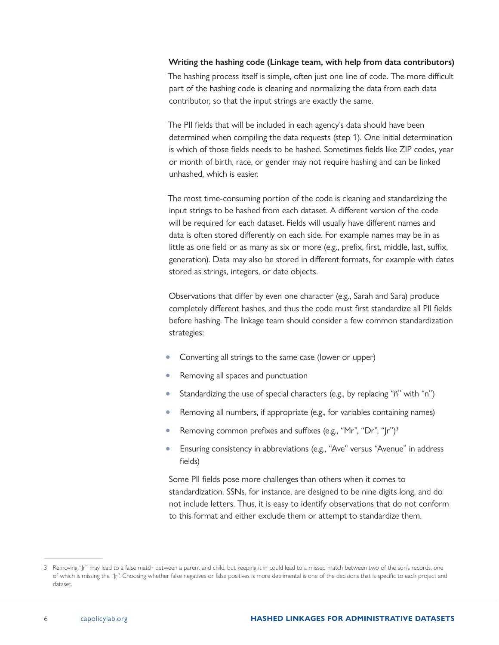#### **Writing the hashing code (Linkage team, with help from data contributors)**

The hashing process itself is simple, often just one line of code. The more difficult part of the hashing code is cleaning and normalizing the data from each data contributor, so that the input strings are exactly the same.

The PII fields that will be included in each agency's data should have been determined when compiling the data requests (step 1). One initial determination is which of those fields needs to be hashed. Sometimes fields like ZIP codes, year or month of birth, race, or gender may not require hashing and can be linked unhashed, which is easier.

The most time-consuming portion of the code is cleaning and standardizing the input strings to be hashed from each dataset. A different version of the code will be required for each dataset. Fields will usually have different names and data is often stored differently on each side. For example names may be in as little as one field or as many as six or more (e.g., prefix, first, middle, last, suffix, generation). Data may also be stored in different formats, for example with dates stored as strings, integers, or date objects.

Observations that differ by even one character (e.g., Sarah and Sara) produce completely different hashes, and thus the code must first standardize all PII fields before hashing. The linkage team should consider a few common standardization strategies:

- Converting all strings to the same case (lower or upper)
- Removing all spaces and punctuation
- Standardizing the use of special characters (e.g., by replacing "ñ" with "n")
- Removing all numbers, if appropriate (e.g., for variables containing names)
- Removing common prefixes and suffixes (e.g., "Mr", "Dr", "Jr")3
- Ensuring consistency in abbreviations (e.g., "Ave" versus "Avenue" in address fields)

Some PII fields pose more challenges than others when it comes to standardization. SSNs, for instance, are designed to be nine digits long, and do not include letters. Thus, it is easy to identify observations that do not conform to this format and either exclude them or attempt to standardize them.

<sup>3</sup> Removing "Jr" may lead to a false match between a parent and child, but keeping it in could lead to a missed match between two of the son's records, one of which is missing the "Jr". Choosing whether false negatives or false positives is more detrimental is one of the decisions that is specific to each project and dataset.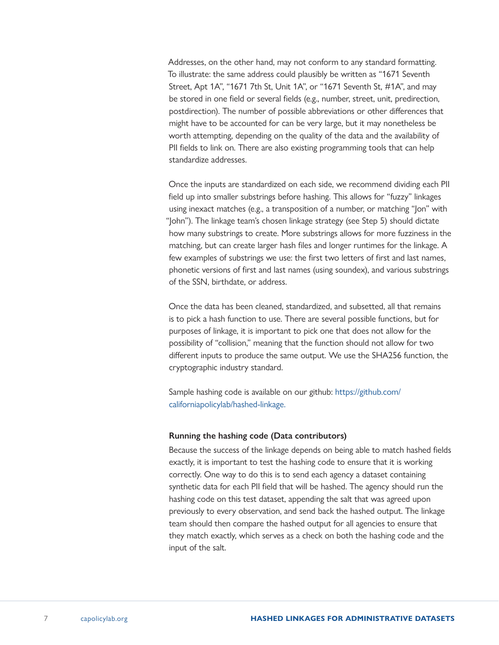Addresses, on the other hand, may not conform to any standard formatting. To illustrate: the same address could plausibly be written as "1671 Seventh Street, Apt 1A", "1671 7th St, Unit 1A", or "1671 Seventh St, #1A", and may be stored in one field or several fields (e.g., number, street, unit, predirection, postdirection). The number of possible abbreviations or other differences that might have to be accounted for can be very large, but it may nonetheless be worth attempting, depending on the quality of the data and the availability of PII fields to link on. There are also existing programming tools that can help standardize addresses.

Once the inputs are standardized on each side, we recommend dividing each PII field up into smaller substrings before hashing. This allows for "fuzzy" linkages using inexact matches (e.g., a transposition of a number, or matching "Jon" with "John"). The linkage team's chosen linkage strategy (see Step 5) should dictate how many substrings to create. More substrings allows for more fuzziness in the matching, but can create larger hash files and longer runtimes for the linkage. A few examples of substrings we use: the first two letters of first and last names, phonetic versions of first and last names (using soundex), and various substrings of the SSN, birthdate, or address.

Once the data has been cleaned, standardized, and subsetted, all that remains is to pick a hash function to use. There are several possible functions, but for purposes of linkage, it is important to pick one that does not allow for the possibility of "collision," meaning that the function should not allow for two different inputs to produce the same output. We use the SHA256 function, the cryptographic industry standard.

Sample hashing code is available on our github: [https://github.com/](https://github.com/californiapolicylab/hashed-linkage) [californiapolicylab/hashed-linkage.](https://github.com/californiapolicylab/hashed-linkage)

#### **Running the hashing code (Data contributors)**

Because the success of the linkage depends on being able to match hashed fields exactly, it is important to test the hashing code to ensure that it is working correctly. One way to do this is to send each agency a dataset containing synthetic data for each PII field that will be hashed. The agency should run the hashing code on this test dataset, appending the salt that was agreed upon previously to every observation, and send back the hashed output. The linkage team should then compare the hashed output for all agencies to ensure that they match exactly, which serves as a check on both the hashing code and the input of the salt.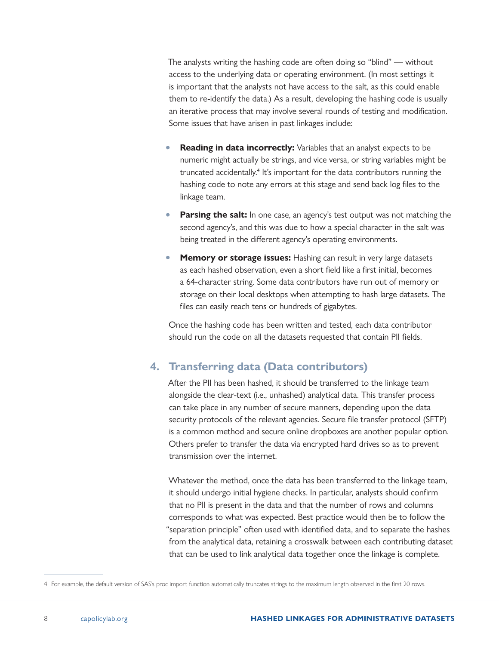<span id="page-7-0"></span>The analysts writing the hashing code are often doing so "blind" — without access to the underlying data or operating environment. (In most settings it is important that the analysts not have access to the salt, as this could enable them to re-identify the data.) As a result, developing the hashing code is usually an iterative process that may involve several rounds of testing and modification. Some issues that have arisen in past linkages include:

- **Reading in data incorrectly:** Variables that an analyst expects to be numeric might actually be strings, and vice versa, or string variables might be truncated accidentally.<sup>4</sup> It's important for the data contributors running the hashing code to note any errors at this stage and send back log files to the linkage team.
- **Parsing the salt:** In one case, an agency's test output was not matching the second agency's, and this was due to how a special character in the salt was being treated in the different agency's operating environments.
- **Memory or storage issues:** Hashing can result in very large datasets as each hashed observation, even a short field like a first initial, becomes a 64-character string. Some data contributors have run out of memory or storage on their local desktops when attempting to hash large datasets. The files can easily reach tens or hundreds of gigabytes.

Once the hashing code has been written and tested, each data contributor should run the code on all the datasets requested that contain PII fields.

### **4. Transferring data (Data contributors)**

After the PII has been hashed, it should be transferred to the linkage team alongside the clear-text (i.e., unhashed) analytical data. This transfer process can take place in any number of secure manners, depending upon the data security protocols of the relevant agencies. Secure file transfer protocol (SFTP) is a common method and secure online dropboxes are another popular option. Others prefer to transfer the data via encrypted hard drives so as to prevent transmission over the internet.

Whatever the method, once the data has been transferred to the linkage team, it should undergo initial hygiene checks. In particular, analysts should confirm that no PII is present in the data and that the number of rows and columns corresponds to what was expected. Best practice would then be to follow the "separation principle" often used with identified data, and to separate the hashes from the analytical data, retaining a crosswalk between each contributing dataset that can be used to link analytical data together once the linkage is complete.

<sup>4</sup> For example, the default version of SAS's proc import function automatically truncates strings to the maximum length observed in the first 20 rows.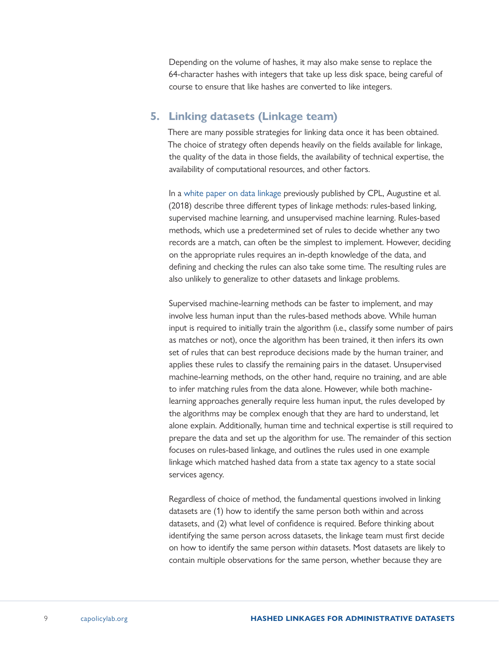<span id="page-8-0"></span>Depending on the volume of hashes, it may also make sense to replace the 64-character hashes with integers that take up less disk space, being careful of course to ensure that like hashes are converted to like integers.

#### **5. Linking datasets (Linkage team)**

There are many possible strategies for linking data once it has been obtained. The choice of strategy often depends heavily on the fields available for linkage, the quality of the data in those fields, the availability of technical expertise, the availability of computational resources, and other factors.

In a [white paper on data linkage](https://www.capolicylab.org/linking-administrative-data/) previously published by CPL, Augustine et al. (2018) describe three different types of linkage methods: rules-based linking, supervised machine learning, and unsupervised machine learning. Rules-based methods, which use a predetermined set of rules to decide whether any two records are a match, can often be the simplest to implement. However, deciding on the appropriate rules requires an in-depth knowledge of the data, and defining and checking the rules can also take some time. The resulting rules are also unlikely to generalize to other datasets and linkage problems.

Supervised machine-learning methods can be faster to implement, and may involve less human input than the rules-based methods above. While human input is required to initially train the algorithm (i.e., classify some number of pairs as matches or not), once the algorithm has been trained, it then infers its own set of rules that can best reproduce decisions made by the human trainer, and applies these rules to classify the remaining pairs in the dataset. Unsupervised machine-learning methods, on the other hand, require no training, and are able to infer matching rules from the data alone. However, while both machinelearning approaches generally require less human input, the rules developed by the algorithms may be complex enough that they are hard to understand, let alone explain. Additionally, human time and technical expertise is still required to prepare the data and set up the algorithm for use. The remainder of this section focuses on rules-based linkage, and outlines the rules used in one example linkage which matched hashed data from a state tax agency to a state social services agency.

Regardless of choice of method, the fundamental questions involved in linking datasets are (1) how to identify the same person both within and across datasets, and (2) what level of confidence is required. Before thinking about identifying the same person across datasets, the linkage team must first decide on how to identify the same person *within* datasets. Most datasets are likely to contain multiple observations for the same person, whether because they are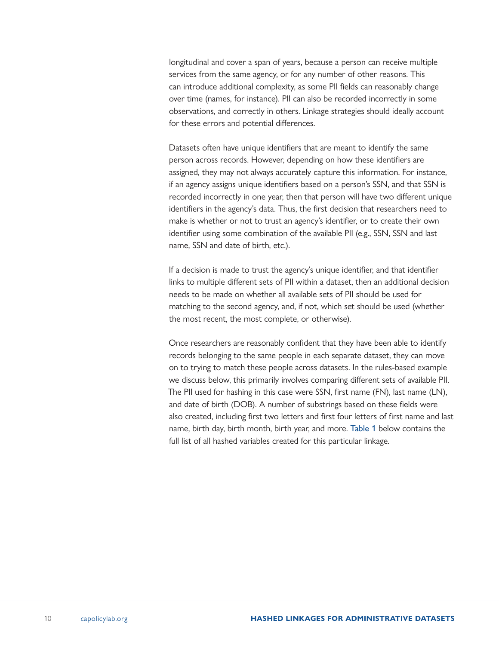longitudinal and cover a span of years, because a person can receive multiple services from the same agency, or for any number of other reasons. This can introduce additional complexity, as some PII fields can reasonably change over time (names, for instance). PII can also be recorded incorrectly in some observations, and correctly in others. Linkage strategies should ideally account for these errors and potential differences.

Datasets often have unique identifiers that are meant to identify the same person across records. However, depending on how these identifiers are assigned, they may not always accurately capture this information. For instance, if an agency assigns unique identifiers based on a person's SSN, and that SSN is recorded incorrectly in one year, then that person will have two different unique identifiers in the agency's data. Thus, the first decision that researchers need to make is whether or not to trust an agency's identifier, or to create their own identifier using some combination of the available PII (e.g., SSN, SSN and last name, SSN and date of birth, etc.).

If a decision is made to trust the agency's unique identifier, and that identifier links to multiple different sets of PII within a dataset, then an additional decision needs to be made on whether all available sets of PII should be used for matching to the second agency, and, if not, which set should be used (whether the most recent, the most complete, or otherwise).

Once researchers are reasonably confident that they have been able to identify records belonging to the same people in each separate dataset, they can move on to trying to match these people across datasets. In the rules-based example we discuss below, this primarily involves comparing different sets of available PII. The PII used for hashing in this case were SSN, first name (FN), last name (LN), and date of birth (DOB). A number of substrings based on these fields were also created, including first two letters and first four letters of first name and last name, birth day, birth month, birth year, and more. [Table 1](#page-10-0) below contains the full list of all hashed variables created for this particular linkage.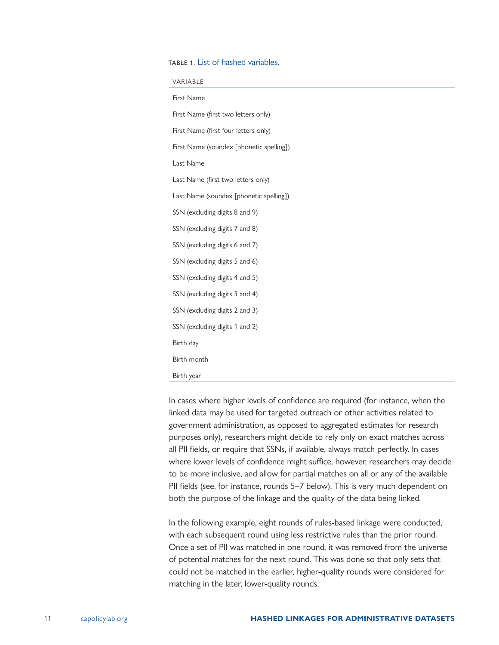#### <span id="page-10-0"></span>TABLE 1. List of hashed variables.

| VARIABLE                                 |  |  |
|------------------------------------------|--|--|
| First Name                               |  |  |
| First Name (first two letters only)      |  |  |
| First Name (first four letters only)     |  |  |
| First Name (soundex [phonetic spelling]) |  |  |
| Last Name                                |  |  |
| Last Name (first two letters only)       |  |  |
| Last Name (soundex [phonetic spelling])  |  |  |
| SSN (excluding digits 8 and 9)           |  |  |
| SSN (excluding digits 7 and 8)           |  |  |
| SSN (excluding digits 6 and 7)           |  |  |
| SSN (excluding digits 5 and 6)           |  |  |
| SSN (excluding digits 4 and 5)           |  |  |
| SSN (excluding digits 3 and 4)           |  |  |
| SSN (excluding digits 2 and 3)           |  |  |
| SSN (excluding digits 1 and 2)           |  |  |
| Birth day                                |  |  |
| Birth month                              |  |  |
| Birth year                               |  |  |

In cases where higher levels of confidence are required (for instance, when the linked data may be used for targeted outreach or other activities related to government administration, as opposed to aggregated estimates for research purposes only), researchers might decide to rely only on exact matches across all PII fields, or require that SSNs, if available, always match perfectly. In cases where lower levels of confidence might suffice, however, researchers may decide to be more inclusive, and allow for partial matches on all or any of the available PII fields (see, for instance, rounds 5–7 below). This is very much dependent on both the purpose of the linkage and the quality of the data being linked.

In the following example, eight rounds of rules-based linkage were conducted, with each subsequent round using less restrictive rules than the prior round. Once a set of PII was matched in one round, it was removed from the universe of potential matches for the next round. This was done so that only sets that could not be matched in the earlier, higher-quality rounds were considered for matching in the later, lower-quality rounds.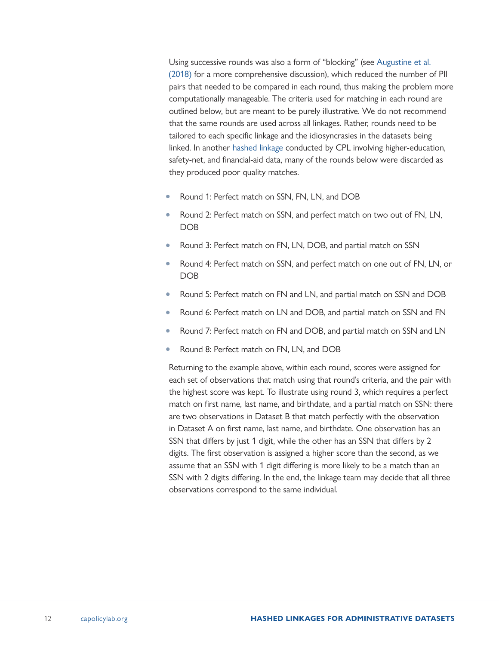Using successive rounds was also a form of "blocking" (see [Augustine et al.](https://www.capolicylab.org/linking-administrative-data/)  [\(2018\)](https://www.capolicylab.org/linking-administrative-data/) for a more comprehensive discussion), which reduced the number of PII pairs that needed to be compared in each round, thus making the problem more computationally manageable. The criteria used for matching in each round are outlined below, but are meant to be purely illustrative. We do not recommend that the same rounds are used across all linkages. Rather, rounds need to be tailored to each specific linkage and the idiosyncrasies in the datasets being linked. In another [hashed linkage](https://www.capolicylab.org/topics/social-safety-net/student-supports-the-role-of-social-safety-net-programs-in-college-student-success/) conducted by CPL involving higher-education, safety-net, and financial-aid data, many of the rounds below were discarded as they produced poor quality matches.

- Round 1: Perfect match on SSN, FN, LN, and DOB
- Round 2: Perfect match on SSN, and perfect match on two out of FN, LN, DOB
- Round 3: Perfect match on FN, LN, DOB, and partial match on SSN
- Round 4: Perfect match on SSN, and perfect match on one out of FN, LN, or DOB
- Round 5: Perfect match on FN and LN, and partial match on SSN and DOB
- Round 6: Perfect match on LN and DOB, and partial match on SSN and FN
- Round 7: Perfect match on FN and DOB, and partial match on SSN and LN
- Round 8: Perfect match on FN, LN, and DOB

Returning to the example above, within each round, scores were assigned for each set of observations that match using that round's criteria, and the pair with the highest score was kept. To illustrate using round 3, which requires a perfect match on first name, last name, and birthdate, and a partial match on SSN: there are two observations in Dataset B that match perfectly with the observation in Dataset A on first name, last name, and birthdate. One observation has an SSN that differs by just 1 digit, while the other has an SSN that differs by 2 digits. The first observation is assigned a higher score than the second, as we assume that an SSN with 1 digit differing is more likely to be a match than an SSN with 2 digits differing. In the end, the linkage team may decide that all three observations correspond to the same individual.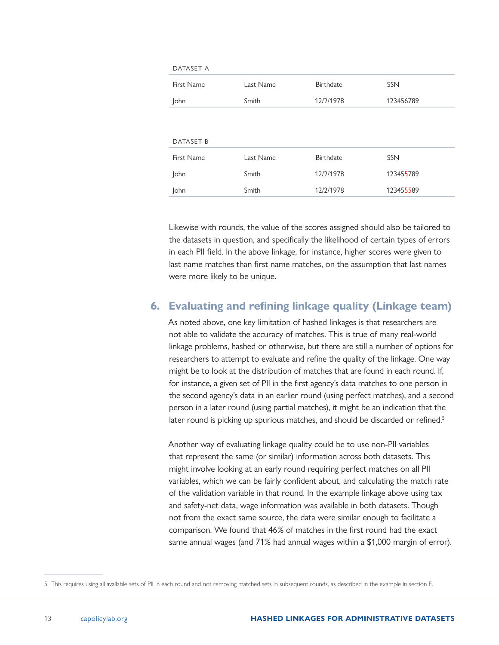<span id="page-12-0"></span>

| DATASET A   |           |           |            |
|-------------|-----------|-----------|------------|
| First Name  | Last Name | Birthdate | <b>SSN</b> |
| <b>John</b> | Smith     | 12/2/1978 | 123456789  |
|             |           |           |            |
|             |           |           |            |
| DATASET B   |           |           |            |
| First Name  | Last Name | Birthdate | <b>SSN</b> |
| John        | Smith     | 12/2/1978 | 123455789  |
| <b>John</b> | Smith     | 12/2/1978 | 123455589  |
|             |           |           |            |

Likewise with rounds, the value of the scores assigned should also be tailored to the datasets in question, and specifically the likelihood of certain types of errors in each PII field. In the above linkage, for instance, higher scores were given to last name matches than first name matches, on the assumption that last names were more likely to be unique.

#### **6. Evaluating and refining linkage quality (Linkage team)**

As noted above, one key limitation of hashed linkages is that researchers are not able to validate the accuracy of matches. This is true of many real-world linkage problems, hashed or otherwise, but there are still a number of options for researchers to attempt to evaluate and refine the quality of the linkage. One way might be to look at the distribution of matches that are found in each round. If, for instance, a given set of PII in the first agency's data matches to one person in the second agency's data in an earlier round (using perfect matches), and a second person in a later round (using partial matches), it might be an indication that the later round is picking up spurious matches, and should be discarded or refined.<sup>5</sup>

Another way of evaluating linkage quality could be to use non-PII variables that represent the same (or similar) information across both datasets. This might involve looking at an early round requiring perfect matches on all PII variables, which we can be fairly confident about, and calculating the match rate of the validation variable in that round. In the example linkage above using tax and safety-net data, wage information was available in both datasets. Though not from the exact same source, the data were similar enough to facilitate a comparison. We found that 46% of matches in the first round had the exact same annual wages (and 71% had annual wages within a \$1,000 margin of error).

<sup>5</sup> This requires using all available sets of PII in each round and not removing matched sets in subsequent rounds, as described in the example in section E.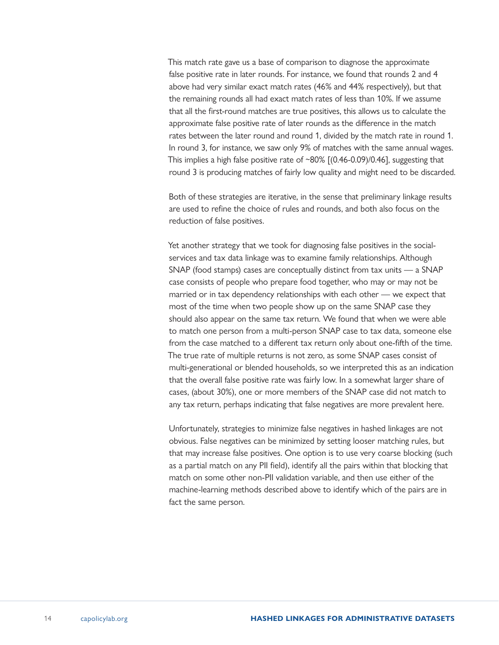This match rate gave us a base of comparison to diagnose the approximate false positive rate in later rounds. For instance, we found that rounds 2 and 4 above had very similar exact match rates (46% and 44% respectively), but that the remaining rounds all had exact match rates of less than 10%. If we assume that all the first-round matches are true positives, this allows us to calculate the approximate false positive rate of later rounds as the difference in the match rates between the later round and round 1, divided by the match rate in round 1. In round 3, for instance, we saw only 9% of matches with the same annual wages. This implies a high false positive rate of ~80% [(0.46-0.09)/0.46], suggesting that round 3 is producing matches of fairly low quality and might need to be discarded.

Both of these strategies are iterative, in the sense that preliminary linkage results are used to refine the choice of rules and rounds, and both also focus on the reduction of false positives.

Yet another strategy that we took for diagnosing false positives in the socialservices and tax data linkage was to examine family relationships. Although SNAP (food stamps) cases are conceptually distinct from tax units — a SNAP case consists of people who prepare food together, who may or may not be married or in tax dependency relationships with each other — we expect that most of the time when two people show up on the same SNAP case they should also appear on the same tax return. We found that when we were able to match one person from a multi-person SNAP case to tax data, someone else from the case matched to a different tax return only about one-fifth of the time. The true rate of multiple returns is not zero, as some SNAP cases consist of multi-generational or blended households, so we interpreted this as an indication that the overall false positive rate was fairly low. In a somewhat larger share of cases, (about 30%), one or more members of the SNAP case did not match to any tax return, perhaps indicating that false negatives are more prevalent here.

Unfortunately, strategies to minimize false negatives in hashed linkages are not obvious. False negatives can be minimized by setting looser matching rules, but that may increase false positives. One option is to use very coarse blocking (such as a partial match on any PII field), identify all the pairs within that blocking that match on some other non-PII validation variable, and then use either of the machine-learning methods described above to identify which of the pairs are in fact the same person.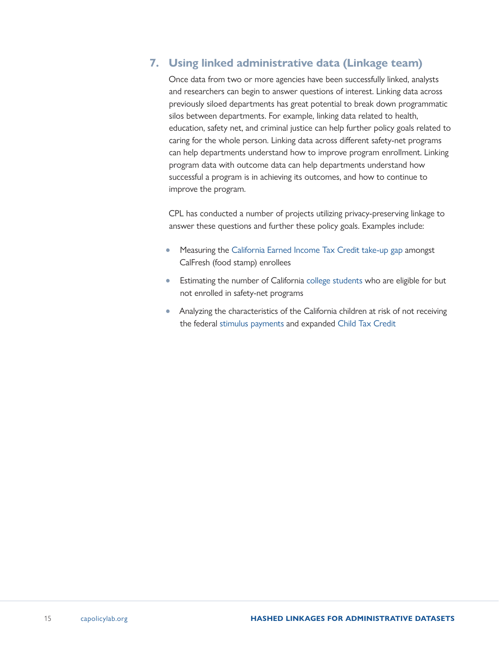## <span id="page-14-0"></span>**7. Using linked administrative data (Linkage team)**

Once data from two or more agencies have been successfully linked, analysts and researchers can begin to answer questions of interest. Linking data across previously siloed departments has great potential to break down programmatic silos between departments. For example, linking data related to health, education, safety net, and criminal justice can help further policy goals related to caring for the whole person. Linking data across different safety-net programs can help departments understand how to improve program enrollment. Linking program data with outcome data can help departments understand how successful a program is in achieving its outcomes, and how to continue to improve the program.

CPL has conducted a number of projects utilizing privacy-preserving linkage to answer these questions and further these policy goals. Examples include:

- Measuring the [California Earned Income Tax Credit take-up gap](https://www.capolicylab.org/measuring-the-caleitc-take-up-gap-among-calfresh-enrollees/) amongst CalFresh (food stamp) enrollees
- Estimating the number of California [college students](https://www.capolicylab.org/topics/social-safety-net/student-supports-the-role-of-social-safety-net-programs-in-college-student-success/) who are eligible for but not enrolled in safety-net programs
- Analyzing the characteristics of the California children at risk of not receiving the federal [stimulus payments](https://www.capolicylab.org/the-stimulus-gap-2-2-million-californians-could-miss-5-7-billion-in-federal-stimulus-payments/) and expanded [Child Tax Credit](https://www.capolicylab.org/the-california-children-who-may-miss-the-2021-federal-child-tax-credit/)